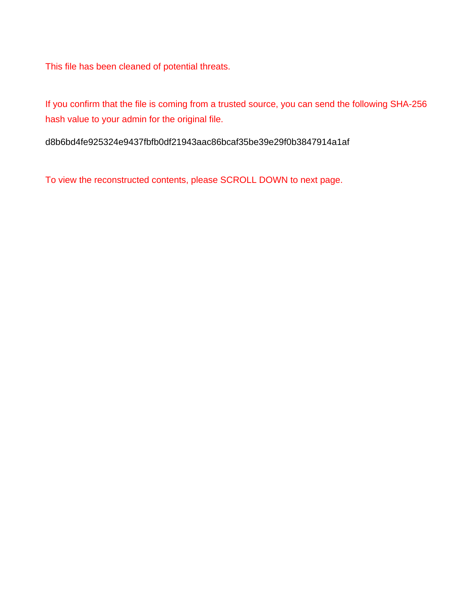This file has been cleaned of potential threats.

If you confirm that the file is coming from a trusted source, you can send the following SHA-256 hash value to your admin for the original file.

d8b6bd4fe925324e9437fbfb0df21943aac86bcaf35be39e29f0b3847914a1af

To view the reconstructed contents, please SCROLL DOWN to next page.